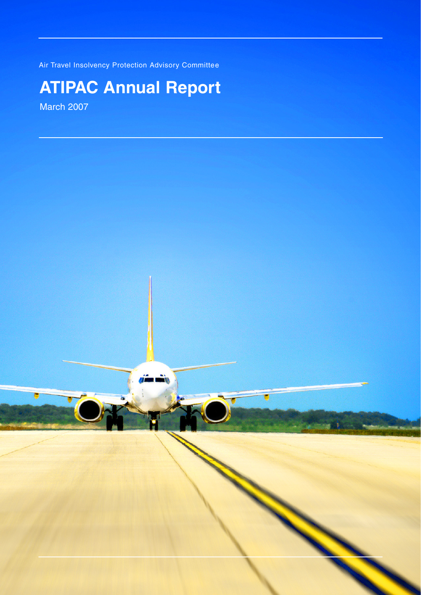Air Travel Insolvency Protection Advisory Committee

# **ATIPAC Annual Report**

March 2007

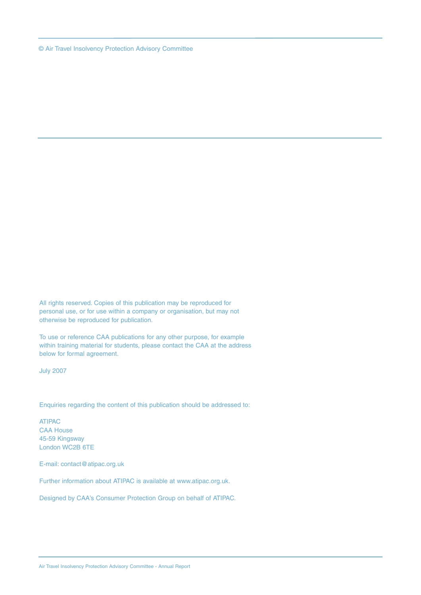© Air Travel Insolvency Protection Advisory Committee

All rights reserved. Copies of this publication may be reproduced for personal use, or for use within a company or organisation, but may not otherwise be reproduced for publication.

To use or reference CAA publications for any other purpose, for example within training material for students, please contact the CAA at the address below for formal agreement.

July 2007

Enquiries regarding the content of this publication should be addressed to:

ATIPAC CAA House 45-59 Kingsway London WC2B 6TE

E-mail: contact@atipac.org.uk

Further information about ATIPAC is available at www.atipac.org.uk.

Designed by CAA's Consumer Protection Group on behalf of ATIPAC.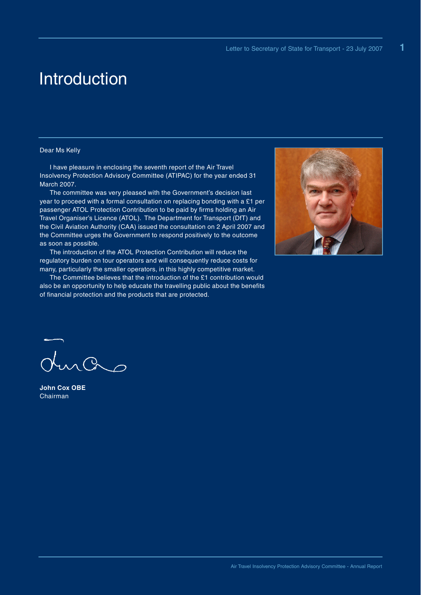**1**

## Introduction

## Dear Ms Kelly

I have pleasure in enclosing the seventh report of the Air Travel Insolvency Protection Advisory Committee (ATIPAC) for the year ended 31 March 2007.

The committee was very pleased with the Government's decision last year to proceed with a formal consultation on replacing bonding with a £1 per passenger ATOL Protection Contribution to be paid by firms holding an Air Travel Organiser's Licence (ATOL). The Department for Transport (DfT) and the Civil Aviation Authority (CAA) issued the consultation on 2 April 2007 and the Committee urges the Government to respond positively to the outcome as soon as possible.

The introduction of the ATOL Protection Contribution will reduce the regulatory burden on tour operators and will consequently reduce costs for many, particularly the smaller operators, in this highly competitive market.

The Committee believes that the introduction of the £1 contribution would also be an opportunity to help educate the travelling public about the benefits of financial protection and the products that are protected.



ras

**John Cox OBE** Chairman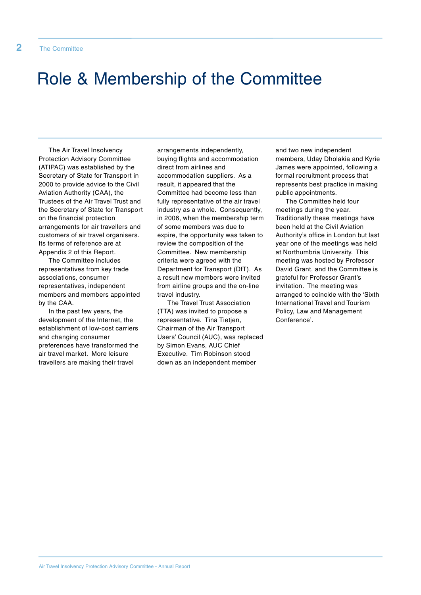# Role & Membership of the Committee

The Air Travel Insolvency Protection Advisory Committee (ATIPAC) was established by the Secretary of State for Transport in 2000 to provide advice to the Civil Aviation Authority (CAA), the Trustees of the Air Travel Trust and the Secretary of State for Transport on the financial protection arrangements for air travellers and customers of air travel organisers. Its terms of reference are at Appendix 2 of this Report.

The Committee includes representatives from key trade associations, consumer representatives, independent members and members appointed by the CAA.

In the past few years, the development of the Internet, the establishment of low-cost carriers and changing consumer preferences have transformed the air travel market. More leisure travellers are making their travel

arrangements independently, buying flights and accommodation direct from airlines and accommodation suppliers. As a result, it appeared that the Committee had become less than fully representative of the air travel industry as a whole. Consequently, in 2006, when the membership term of some members was due to expire, the opportunity was taken to review the composition of the Committee. New membership criteria were agreed with the Department for Transport (DfT). As a result new members were invited from airline groups and the on-line travel industry.

The Travel Trust Association (TTA) was invited to propose a representative. Tina Tietjen, Chairman of the Air Transport Users' Council (AUC), was replaced by Simon Evans, AUC Chief Executive. Tim Robinson stood down as an independent member

and two new independent members, Uday Dholakia and Kyrie James were appointed, following a formal recruitment process that represents best practice in making public appointments.

The Committee held four meetings during the year. Traditionally these meetings have been held at the Civil Aviation Authority's office in London but last year one of the meetings was held at Northumbria University. This meeting was hosted by Professor David Grant, and the Committee is grateful for Professor Grant's invitation. The meeting was arranged to coincide with the 'Sixth International Travel and Tourism Policy, Law and Management Conference'.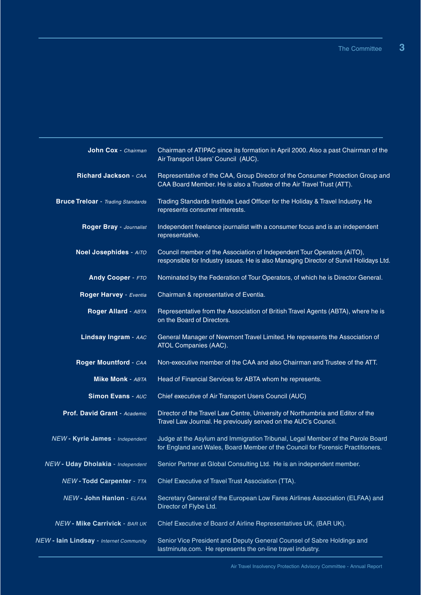| John Cox - Chairman                      | Chairman of ATIPAC since its formation in April 2000. Also a past Chairman of the<br>Air Transport Users' Council (AUC).                                         |  |  |  |
|------------------------------------------|------------------------------------------------------------------------------------------------------------------------------------------------------------------|--|--|--|
| Richard Jackson - CAA                    | Representative of the CAA, Group Director of the Consumer Protection Group and<br>CAA Board Member. He is also a Trustee of the Air Travel Trust (ATT).          |  |  |  |
| <b>Bruce Treloar</b> - Trading Standards | Trading Standards Institute Lead Officer for the Holiday & Travel Industry. He<br>represents consumer interests.                                                 |  |  |  |
| Roger Bray - Journalist                  | Independent freelance journalist with a consumer focus and is an independent<br>representative.                                                                  |  |  |  |
| Noel Josephides - AITO                   | Council member of the Association of Independent Tour Operators (AiTO),<br>responsible for Industry issues. He is also Managing Director of Sunvil Holidays Ltd. |  |  |  |
| <b>Andy Cooper - FTO</b>                 | Nominated by the Federation of Tour Operators, of which he is Director General.                                                                                  |  |  |  |
| Roger Harvey - Eventia                   | Chairman & representative of Eventia.                                                                                                                            |  |  |  |
| Roger Allard - ABTA                      | Representative from the Association of British Travel Agents (ABTA), where he is<br>on the Board of Directors.                                                   |  |  |  |
| Lindsay Ingram - AAC                     | General Manager of Newmont Travel Limited. He represents the Association of<br>ATOL Companies (AAC).                                                             |  |  |  |
| Roger Mountford - CAA                    | Non-executive member of the CAA and also Chairman and Trustee of the ATT.                                                                                        |  |  |  |
| <b>Mike Monk - ABTA</b>                  | Head of Financial Services for ABTA whom he represents.                                                                                                          |  |  |  |
| <b>Simon Evans - AUC</b>                 | Chief executive of Air Transport Users Council (AUC)                                                                                                             |  |  |  |
| Prof. David Grant - Academic             | Director of the Travel Law Centre, University of Northumbria and Editor of the<br>Travel Law Journal. He previously served on the AUC's Council.                 |  |  |  |
| NEW - Kyrie James - Independent          | Judge at the Asylum and Immigration Tribunal, Legal Member of the Parole Board<br>for England and Wales, Board Member of the Council for Forensic Practitioners. |  |  |  |
| NEW - Uday Dholakia - Independent        | Senior Partner at Global Consulting Ltd. He is an independent member.                                                                                            |  |  |  |
| <b>NEW-Todd Carpenter - TTA</b>          | Chief Executive of Travel Trust Association (TTA).                                                                                                               |  |  |  |
| NEW - John Hanlon - ELFAA                | Secretary General of the European Low Fares Airlines Association (ELFAA) and<br>Director of Flybe Ltd.                                                           |  |  |  |
| NEW - Mike Carrivick - BAR UK            | Chief Executive of Board of Airline Representatives UK, (BAR UK).                                                                                                |  |  |  |
| NEW - lain Lindsay - Internet Community  | Senior Vice President and Deputy General Counsel of Sabre Holdings and<br>lastminute.com. He represents the on-line travel industry.                             |  |  |  |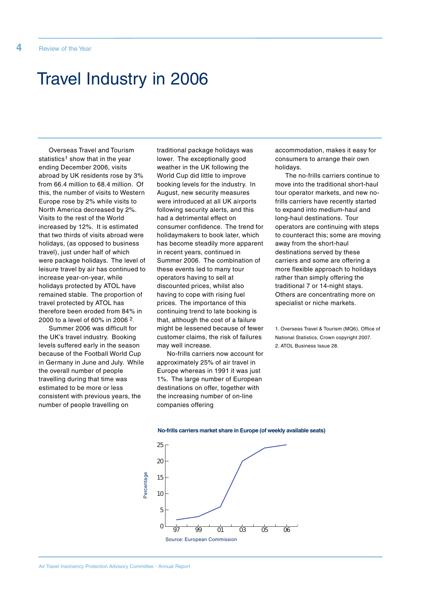## Travel Industry in 2006

Overseas Travel and Tourism statistics<sup>1</sup> show that in the year ending December 2006, visits abroad by UK residents rose by 3% from 66.4 million to 68.4 million. Of this, the number of visits to Western Europe rose by 2% while visits to North America decreased by 2%. Visits to the rest of the World increased by 12%. It is estimated that two thirds of visits abroad were holidays, (as opposed to business travel), just under half of which were package holidays. The level of leisure travel by air has continued to increase year-on-year, while holidays protected by ATOL have remained stable. The proportion of travel protected by ATOL has therefore been eroded from 84% in 2000 to a level of 60% in 2006 2.

Summer 2006 was difficult for the UK's travel industry. Booking levels suffered early in the season because of the Football World Cup in Germany in June and July. While the overall number of people travelling during that time was estimated to be more or less consistent with previous years, the number of people travelling on

traditional package holidays was lower. The exceptionally good weather in the UK following the World Cup did little to improve booking levels for the industry. In August, new security measures were introduced at all UK airports following security alerts, and this had a detrimental effect on consumer confidence. The trend for holidaymakers to book later, which has become steadily more apparent in recent years, continued in Summer 2006. The combination of these events led to many tour operators having to sell at discounted prices, whilst also having to cope with rising fuel prices. The importance of this continuing trend to late booking is that, although the cost of a failure might be lessened because of fewer customer claims, the risk of failures may well increase.

No-frills carriers now account for approximately 25% of air travel in Europe whereas in 1991 it was just 1%. The large number of European destinations on offer, together with the increasing number of on-line companies offering

accommodation, makes it easy for consumers to arrange their own holidays.

The no-frills carriers continue to move into the traditional short-haul tour operator markets, and new nofrills carriers have recently started to expand into medium-haul and long-haul destinations. Tour operators are continuing with steps to counteract this; some are moving away from the short-haul destinations served by these carriers and some are offering a more flexible approach to holidays rather than simply offering the traditional 7 or 14-night stays. Others are concentrating more on specialist or niche markets.

1. Overseas Travel & Tourism (MQ6), Office of National Statistics, Crown copyright 2007. 2. ATOL Business Issue 28.



#### **No-frills carriers market share in Europe (of weekly available seats)**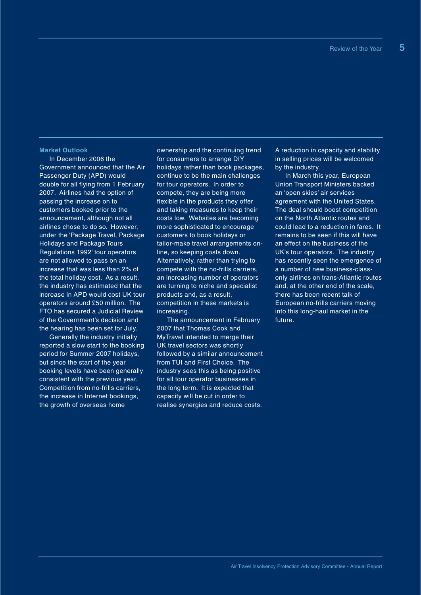#### **Market Outlook**

In December 2006 the Government announced that the Air Passenger Duty (APD) would double for all flying from 1 February 2007. Airlines had the option of passing the increase on to customers booked prior to the announcement, although not all airlines chose to do so. However, under the 'Package Travel, Package Holidays and Package Tours Regulations 1992' tour operators are not allowed to pass on an increase that was less than 2% of the total holiday cost. As a result, the industry has estimated that the increase in APD would cost UK tour operators around £50 million. The FTO has secured a Judicial Review of the Government's decision and the hearing has been set for July.

Generally the industry initially reported a slow start to the booking period for Summer 2007 holidays, but since the start of the year booking levels have been generally consistent with the previous year. Competition from no-frills carriers, the increase in Internet bookings, the growth of overseas home

ownership and the continuing trend for consumers to arrange DIY holidays rather than book packages, continue to be the main challenges for tour operators. In order to compete, they are being more flexible in the products they offer and taking measures to keep their costs low. Websites are becoming more sophisticated to encourage customers to book holidays or tailor-make travel arrangements online, so keeping costs down. Alternatively, rather than trying to compete with the no-frills carriers, an increasing number of operators are turning to niche and specialist products and, as a result, competition in these markets is increasing.

The announcement in February 2007 that Thomas Cook and MyTravel intended to merge their UK travel sectors was shortly followed by a similar announcement from TUI and First Choice. The industry sees this as being positive for all tour operator businesses in the long term. It is expected that capacity will be cut in order to realise synergies and reduce costs.

A reduction in capacity and stability in selling prices will be welcomed by the industry.

In March this year, European Union Transport Ministers backed an 'open skies' air services agreement with the United States. The deal should boost competition on the North Atlantic routes and could lead to a reduction in fares. It remains to be seen if this will have an effect on the business of the UK's tour operators. The industry has recently seen the emergence of a number of new business-classonly airlines on trans-Atlantic routes and, at the other end of the scale, there has been recent talk of European no-frills carriers moving into this long-haul market in the future.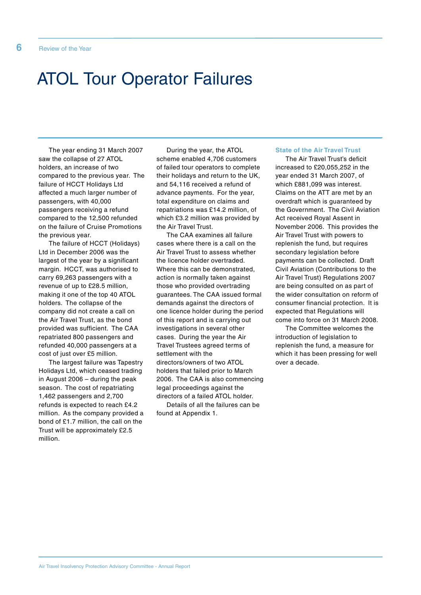# ATOL Tour Operator Failures

The year ending 31 March 2007 saw the collapse of 27 ATOL holders, an increase of two compared to the previous year. The failure of HCCT Holidays Ltd affected a much larger number of passengers, with 40,000 passengers receiving a refund compared to the 12,500 refunded on the failure of Cruise Promotions the previous year.

The failure of HCCT (Holidays) Ltd in December 2006 was the largest of the year by a significant margin. HCCT, was authorised to carry 69,263 passengers with a revenue of up to £28.5 million, making it one of the top 40 ATOL holders. The collapse of the company did not create a call on the Air Travel Trust, as the bond provided was sufficient. The CAA repatriated 800 passengers and refunded 40,000 passengers at a cost of just over £5 million.

The largest failure was Tapestry Holidays Ltd, which ceased trading in August 2006 – during the peak season. The cost of repatriating 1,462 passengers and 2,700 refunds is expected to reach £4.2 million. As the company provided a bond of £1.7 million, the call on the Trust will be approximately £2.5 million.

During the year, the ATOL scheme enabled 4,706 customers of failed tour operators to complete their holidays and return to the UK, and 54,116 received a refund of advance payments. For the year, total expenditure on claims and repatriations was £14.2 million, of which £3.2 million was provided by the Air Travel Trust.

The CAA examines all failure cases where there is a call on the Air Travel Trust to assess whether the licence holder overtraded. Where this can be demonstrated, action is normally taken against those who provided overtrading guarantees. The CAA issued formal demands against the directors of one licence holder during the period of this report and is carrying out investigations in several other cases. During the year the Air Travel Trustees agreed terms of settlement with the directors/owners of two ATOL holders that failed prior to March 2006. The CAA is also commencing legal proceedings against the directors of a failed ATOL holder.

Details of all the failures can be found at Appendix 1.

## **State of the Air Travel Trust**

The Air Travel Trust's deficit increased to £20,055,252 in the year ended 31 March 2007, of which £881,099 was interest. Claims on the ATT are met by an overdraft which is guaranteed by the Government. The Civil Aviation Act received Royal Assent in November 2006. This provides the Air Travel Trust with powers to replenish the fund, but requires secondary legislation before payments can be collected. Draft Civil Aviation (Contributions to the Air Travel Trust) Regulations 2007 are being consulted on as part of the wider consultation on reform of consumer financial protection. It is expected that Regulations will come into force on 31 March 2008.

The Committee welcomes the introduction of legislation to replenish the fund, a measure for which it has been pressing for well over a decade.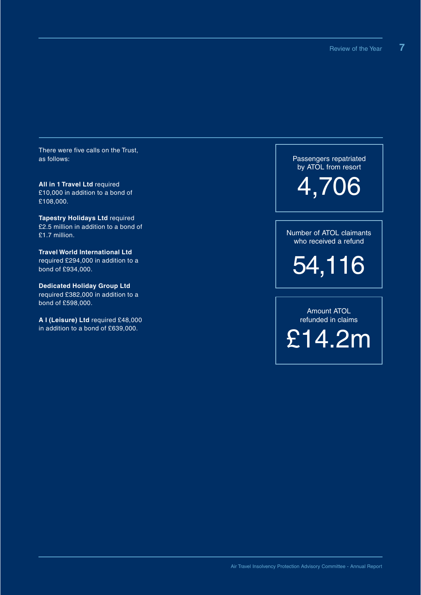There were five calls on the Trust, as follows:

**All in 1 Travel Ltd** required £10,000 in addition to a bond of £108,000.

**Tapestry Holidays Ltd** required £2.5 million in addition to a bond of £1.7 million.

**Travel World International Ltd** required £294,000 in addition to a bond of £934,000.

**Dedicated Holiday Group Ltd** required £382,000 in addition to a bond of £598,000.

**A I (Leisure) Ltd** required £48,000 in addition to a bond of £639,000.

Passengers repatriated by ATOL from resort

4,706

Number of ATOL claimants who received a refund

54,116

Amount ATOL refunded in claims £14.2m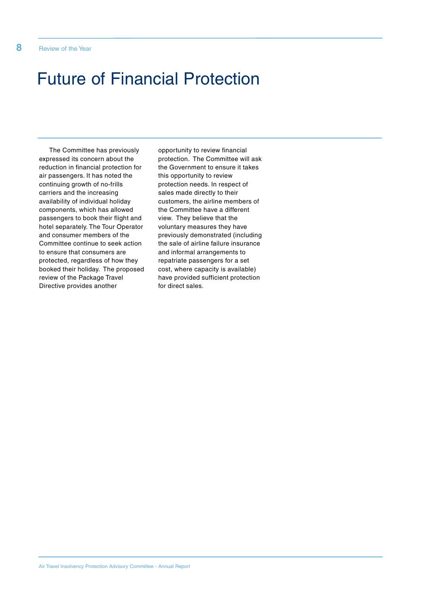# Future of Financial Protection

The Committee has previously expressed its concern about the reduction in financial protection for air passengers. It has noted the continuing growth of no-frills carriers and the increasing availability of individual holiday components, which has allowed passengers to book their flight and hotel separately. The Tour Operator and consumer members of the Committee continue to seek action to ensure that consumers are protected, regardless of how they booked their holiday. The proposed review of the Package Travel Directive provides another

opportunity to review financial protection. The Committee will ask the Government to ensure it takes this opportunity to review protection needs. In respect of sales made directly to their customers, the airline members of the Committee have a different view. They believe that the voluntary measures they have previously demonstrated (including the sale of airline failure insurance and informal arrangements to repatriate passengers for a set cost, where capacity is available) have provided sufficient protection for direct sales.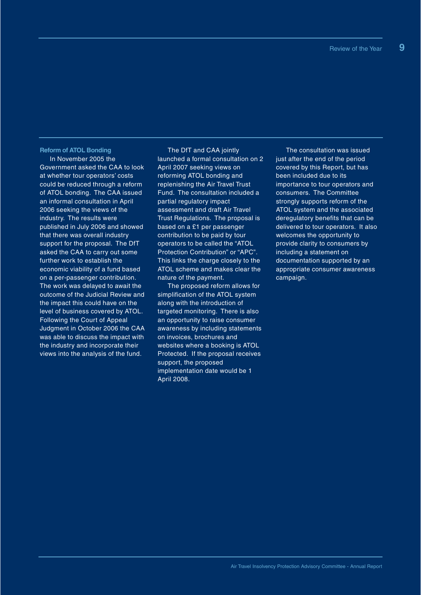### **Reform of ATOL Bonding**

In November 2005 the Government asked the CAA to look at whether tour operators' costs could be reduced through a reform of ATOL bonding. The CAA issued an informal consultation in April 2006 seeking the views of the industry. The results were published in July 2006 and showed that there was overall industry support for the proposal. The DfT asked the CAA to carry out some further work to establish the economic viability of a fund based on a per-passenger contribution. The work was delayed to await the outcome of the Judicial Review and the impact this could have on the level of business covered by ATOL. Following the Court of Appeal Judgment in October 2006 the CAA was able to discuss the impact with the industry and incorporate their views into the analysis of the fund.

The DfT and CAA jointly launched a formal consultation on 2 April 2007 seeking views on reforming ATOL bonding and replenishing the Air Travel Trust Fund. The consultation included a partial regulatory impact assessment and draft Air Travel Trust Regulations. The proposal is based on a £1 per passenger contribution to be paid by tour operators to be called the "ATOL Protection Contribution" or "APC". This links the charge closely to the ATOL scheme and makes clear the nature of the payment.

The proposed reform allows for simplification of the ATOL system along with the introduction of targeted monitoring. There is also an opportunity to raise consumer awareness by including statements on invoices, brochures and websites where a booking is ATOL Protected. If the proposal receives support, the proposed implementation date would be 1 April 2008.

The consultation was issued just after the end of the period covered by this Report, but has been included due to its importance to tour operators and consumers. The Committee strongly supports reform of the ATOL system and the associated deregulatory benefits that can be delivered to tour operators. It also welcomes the opportunity to provide clarity to consumers by including a statement on documentation supported by an appropriate consumer awareness campaign.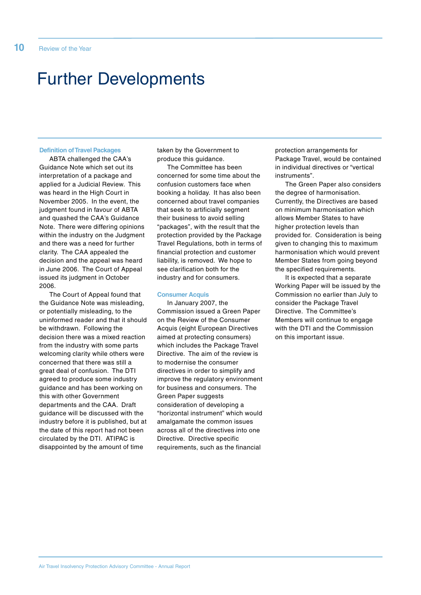# Further Developments

#### **Definition of Travel Packages**

ABTA challenged the CAA's Guidance Note which set out its interpretation of a package and applied for a Judicial Review. This was heard in the High Court in November 2005. In the event, the judgment found in favour of ABTA and quashed the CAA's Guidance Note. There were differing opinions within the industry on the Judgment and there was a need for further clarity. The CAA appealed the decision and the appeal was heard in June 2006. The Court of Appeal issued its judgment in October 2006.

The Court of Appeal found that the Guidance Note was misleading, or potentially misleading, to the uninformed reader and that it should be withdrawn. Following the decision there was a mixed reaction from the industry with some parts welcoming clarity while others were concerned that there was still a great deal of confusion. The DTI agreed to produce some industry guidance and has been working on this with other Government departments and the CAA. Draft guidance will be discussed with the industry before it is published, but at the date of this report had not been circulated by the DTI. ATIPAC is disappointed by the amount of time

taken by the Government to produce this guidance.

The Committee has been concerned for some time about the confusion customers face when booking a holiday. It has also been concerned about travel companies that seek to artificially segment their business to avoid selling "packages", with the result that the protection provided by the Package Travel Regulations, both in terms of financial protection and customer liability, is removed. We hope to see clarification both for the industry and for consumers.

#### **Consumer Acquis**

In January 2007, the Commission issued a Green Paper on the Review of the Consumer Acquis (eight European Directives aimed at protecting consumers) which includes the Package Travel Directive. The aim of the review is to modernise the consumer directives in order to simplify and improve the regulatory environment for business and consumers. The Green Paper suggests consideration of developing a "horizontal instrument" which would amalgamate the common issues across all of the directives into one Directive. Directive specific requirements, such as the financial

protection arrangements for Package Travel, would be contained in individual directives or "vertical instruments".

The Green Paper also considers the degree of harmonisation. Currently, the Directives are based on minimum harmonisation which allows Member States to have higher protection levels than provided for. Consideration is being given to changing this to maximum harmonisation which would prevent Member States from going beyond the specified requirements.

It is expected that a separate Working Paper will be issued by the Commission no earlier than July to consider the Package Travel Directive. The Committee's Members will continue to engage with the DTI and the Commission on this important issue.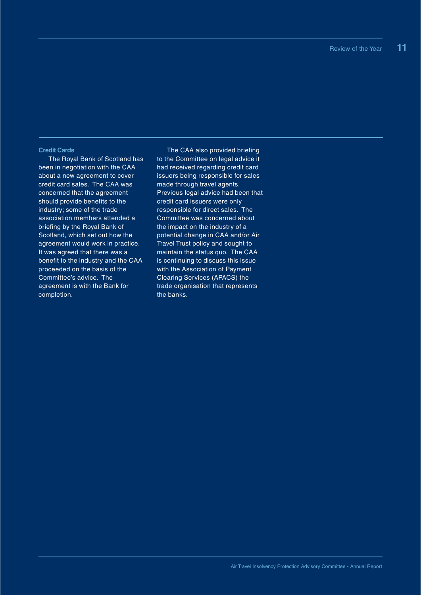#### **Credit Cards**

The Royal Bank of Scotland has been in negotiation with the CAA about a new agreement to cover credit card sales. The CAA was concerned that the agreement should provide benefits to the industry; some of the trade association members attended a briefing by the Royal Bank of Scotland, which set out how the agreement would work in practice. It was agreed that there was a benefit to the industry and the CAA proceeded on the basis of the Committee's advice. The agreement is with the Bank for completion.

The CAA also provided briefing to the Committee on legal advice it had received regarding credit card issuers being responsible for sales made through travel agents. Previous legal advice had been that credit card issuers were only responsible for direct sales. The Committee was concerned about the impact on the industry of a potential change in CAA and/or Air Travel Trust policy and sought to maintain the status quo. The CAA is continuing to discuss this issue with the Association of Payment Clearing Services (APACS) the trade organisation that represents the banks.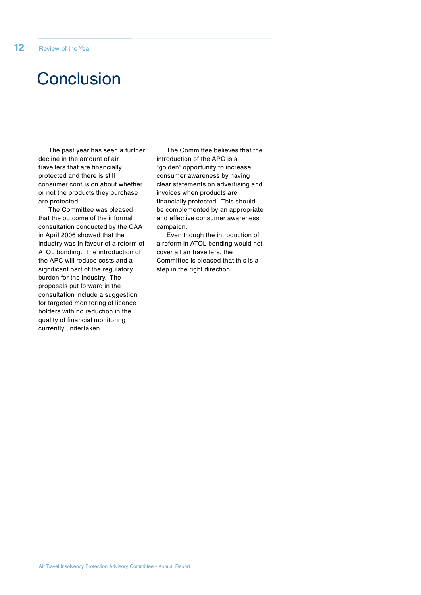# **Conclusion**

The past year has seen a further decline in the amount of air travellers that are financially protected and there is still consumer confusion about whether or not the products they purchase are protected.

The Committee was pleased that the outcome of the informal consultation conducted by the CAA in April 2006 showed that the industry was in favour of a reform of ATOL bonding. The introduction of the APC will reduce costs and a significant part of the regulatory burden for the industry. The proposals put forward in the consultation include a suggestion for targeted monitoring of licence holders with no reduction in the quality of financial monitoring currently undertaken.

The Committee believes that the introduction of the APC is a "golden" opportunity to increase consumer awareness by having clear statements on advertising and invoices when products are financially protected. This should be complemented by an appropriate and effective consumer awareness campaign.

Even though the introduction of a reform in ATOL bonding would not cover all air travellers, the Committee is pleased that this is a step in the right direction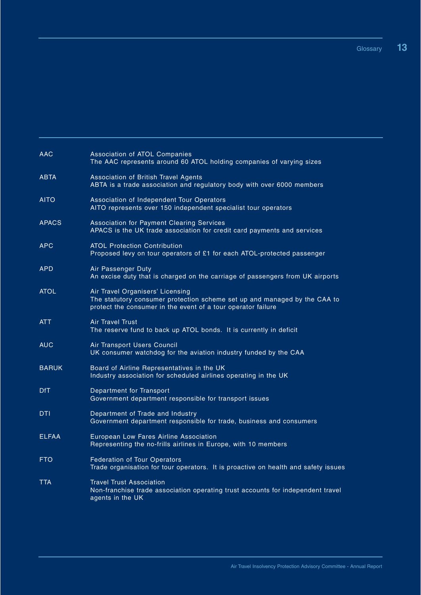| <b>AAC</b>   | Association of ATOL Companies<br>The AAC represents around 60 ATOL holding companies of varying sizes                                                                         |
|--------------|-------------------------------------------------------------------------------------------------------------------------------------------------------------------------------|
| <b>ABTA</b>  | Association of British Travel Agents<br>ABTA is a trade association and regulatory body with over 6000 members                                                                |
| <b>AITO</b>  | Association of Independent Tour Operators<br>AITO represents over 150 independent specialist tour operators                                                                   |
| <b>APACS</b> | <b>Association for Payment Clearing Services</b><br>APACS is the UK trade association for credit card payments and services                                                   |
| <b>APC</b>   | <b>ATOL Protection Contribution</b><br>Proposed levy on tour operators of £1 for each ATOL-protected passenger                                                                |
| <b>APD</b>   | Air Passenger Duty<br>An excise duty that is charged on the carriage of passengers from UK airports                                                                           |
| <b>ATOL</b>  | Air Travel Organisers' Licensing<br>The statutory consumer protection scheme set up and managed by the CAA to<br>protect the consumer in the event of a tour operator failure |
| <b>ATT</b>   | <b>Air Travel Trust</b><br>The reserve fund to back up ATOL bonds. It is currently in deficit                                                                                 |
| <b>AUC</b>   | Air Transport Users Council<br>UK consumer watchdog for the aviation industry funded by the CAA                                                                               |
| <b>BARUK</b> | Board of Airline Representatives in the UK<br>Industry association for scheduled airlines operating in the UK                                                                 |
| <b>DfT</b>   | Department for Transport<br>Government department responsible for transport issues                                                                                            |
| <b>DTI</b>   | Department of Trade and Industry<br>Government department responsible for trade, business and consumers                                                                       |
| <b>ELFAA</b> | European Low Fares Airline Association<br>Representing the no-frills airlines in Europe, with 10 members                                                                      |
| <b>FTO</b>   | <b>Federation of Tour Operators</b><br>Trade organisation for tour operators. It is proactive on health and safety issues                                                     |
| <b>TTA</b>   | <b>Travel Trust Association</b><br>Non-franchise trade association operating trust accounts for independent travel<br>agents in the UK                                        |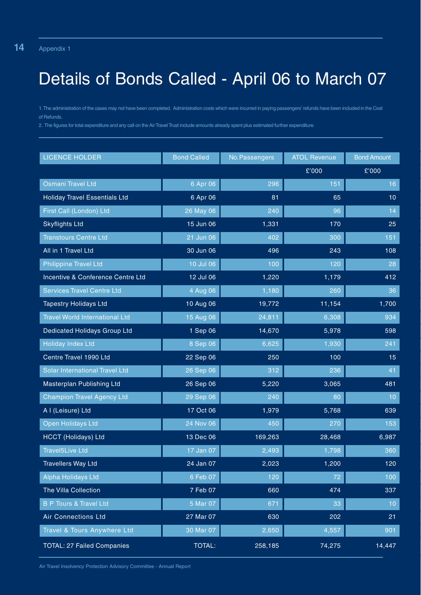# Details of Bonds Called - April 06 to March 07

1.The administration of the cases may not have been completed. Administration costs which were incurred in paying passengers' refunds have been included in the Cost of Refunds.

2. The figures for total expenditure and any call on the Air Travel Trust include amounts already spent plus estimated further expenditure.

| <b>LICENCE HOLDER</b>                 | <b>Bond Called</b> | No. Passengers | <b>ATOL Revenue</b> | <b>Bond Amount</b> |
|---------------------------------------|--------------------|----------------|---------------------|--------------------|
|                                       |                    |                | £'000               | £'000              |
| Osmani Travel Ltd                     | 6 Apr 06           | 296            | 151                 | 16                 |
| <b>Holiday Travel Essentials Ltd</b>  | 6 Apr 06           | 81             | 65                  | 10 <sup>°</sup>    |
| First Call (London) Ltd               | 26 May 06          | 240            | 96                  | 14                 |
| <b>Skyflights Ltd</b>                 | 15 Jun 06          | 1,331          | 170                 | 25                 |
| <b>Transtours Centre Ltd</b>          | 21 Jun 06          | 402            | 300                 | 151                |
| All in 1 Travel Ltd                   | 30 Jun 06          | 496            | 243                 | 108                |
| <b>Philippine Travel Ltd</b>          | 10 Jul 06          | 100            | 120                 | 28                 |
| Incentive & Conference Centre Ltd     | 12 Jul 06          | 1,220          | 1,179               | 412                |
| <b>Services Travel Centre Ltd</b>     | 4 Aug 06           | 1,180          | 260                 | 36                 |
| <b>Tapestry Holidays Ltd</b>          | 10 Aug 06          | 19,772         | 11,154              | 1,700              |
| <b>Travel World International Ltd</b> | 15 Aug 06          | 24,811         | 6,308               | 934                |
| Dedicated Holidays Group Ltd          | 1 Sep 06           | 14,670         | 5,978               | 598                |
| <b>Holiday Index Ltd</b>              | 8 Sep 06           | 6,625          | 1,930               | 241                |
| Centre Travel 1990 Ltd                | 22 Sep 06          | 250            | 100                 | 15                 |
| Solar International Travel Ltd        | 26 Sep 06          | 312            | 236                 | 41                 |
| Masterplan Publishing Ltd             | 26 Sep 06          | 5,220          | 3,065               | 481                |
| <b>Champion Travel Agency Ltd</b>     | 29 Sep 06          | 240            | 80                  | 10                 |
| A I (Leisure) Ltd                     | 17 Oct 06          | 1,979          | 5,768               | 639                |
| Open Holidays Ltd                     | 24 Nov 06          | 450            | 270                 | 153                |
| <b>HCCT</b> (Holidays) Ltd            | 13 Dec 06          | 169,263        | 28,468              | 6,987              |
| <b>Travel5Live Ltd</b>                | 17 Jan 07          | 2,493          | 1,798               | 360                |
| <b>Travellers Way Ltd</b>             | 24 Jan 07          | 2,023          | 1,200               | 120                |
| Alpha Holidays Ltd                    | 6 Feb 07           | 120            | 72                  | 100                |
| The Villa Collection                  | 7 Feb 07           | 660            | 474                 | 337                |
| <b>B P Tours &amp; Travel Ltd</b>     | 5 Mar 07           | 671            | 33                  | 10                 |
| <b>Air Connections Ltd</b>            | 27 Mar 07          | 630            | 202                 | 21                 |
| Travel & Tours Anywhere Ltd           | 30 Mar 07          | 2,650          | 4,557               | 901                |
| <b>TOTAL: 27 Failed Companies</b>     | <b>TOTAL:</b>      | 258,185        | 74,275              | 14,447             |

Air Travel Insolvency Protection Advisory Committee - Annual Report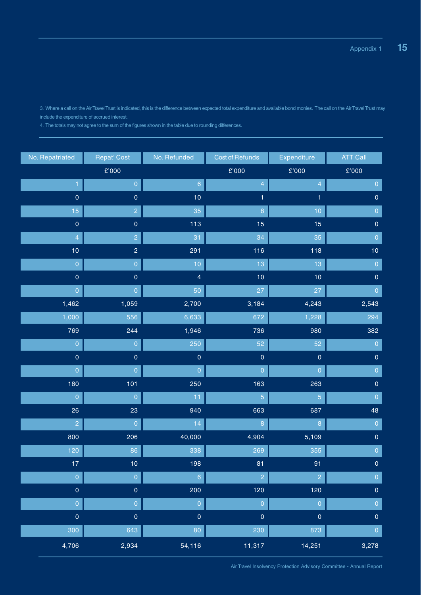3. Where a call on the Air Travel Trust is indicated, this is the difference between expected total expenditure and available bond monies. The call on the Air Travel Trust may include the expenditure of accrued interest.

4. The totals may not agree to the sum of the figures shown in the table due to rounding differences.

| No. Repatriated     | <b>Repat' Cost</b>        | No. Refunded        | <b>Cost of Refunds</b>    | Expenditure         | <b>ATT Call</b>           |
|---------------------|---------------------------|---------------------|---------------------------|---------------------|---------------------------|
|                     | $\pmb{\mathfrak{L}}$ '000 |                     | $\pmb{\mathfrak{L}}$ '000 | $\pounds'000$       | $\pmb{\mathfrak{L}}$ '000 |
|                     | $\boldsymbol{0}$          | $6\phantom{a}$      | 4                         | 4                   | $\mathbf 0$               |
| $\mathbf 0$         | $\mathsf{O}\xspace$       | 10                  |                           | 1                   | $\pmb{0}$                 |
| 15                  | $\overline{2}$            | 35                  | 8                         | 10                  | $\overline{0}$            |
| $\mathbf 0$         | $\mathbf 0$               | 113                 | 15                        | 15                  | $\pmb{0}$                 |
| $\overline{4}$      | $\overline{c}$            | 31                  | 34                        | 35                  | $\overline{0}$            |
| 10                  | $\overline{2}$            | 291                 | 116                       | 118                 | 10                        |
| $\overline{0}$      | $\overline{0}$            | 10                  | 13                        | 13                  | $\overline{0}$            |
| $\mathsf{O}\xspace$ | $\mathsf{O}\xspace$       | $\overline{4}$      | 10                        | 10                  | $\pmb{0}$                 |
| $\pmb{0}$           | $\boldsymbol{0}$          | 50                  | 27                        | 27                  | $\pmb{0}$                 |
| 1,462               | 1,059                     | 2,700               | 3,184                     | 4,243               | 2,543                     |
| 1,000               | 556                       | 6,633               | 672                       | 1,228               | 294                       |
| 769                 | 244                       | 1,946               | 736                       | 980                 | 382                       |
| $\overline{0}$      | $\overline{0}$            | 250                 | 52                        | 52                  | $\overline{0}$            |
| $\mathbf 0$         | $\mathsf{O}\xspace$       | $\mathsf{O}\xspace$ | $\mathsf{O}\xspace$       | $\mathsf{O}\xspace$ | $\pmb{0}$                 |
| $\overline{0}$      | $\overline{0}$            | $\overline{0}$      | $\overline{0}$            | $\overline{0}$      | $\boldsymbol{0}$          |
| 180                 | 101                       | 250                 | 163                       | 263                 | $\mathsf{O}\xspace$       |
| $\overline{0}$      | $\overline{0}$            | 11                  | 5                         | 5                   | $\overline{0}$            |
| 26                  | 23                        | 940                 | 663                       | 687                 | 48                        |
| $\overline{c}$      | $\overline{0}$            | 14                  | 8                         | 8                   | $\overline{0}$            |
| 800                 | 206                       | 40,000              | 4,904                     | 5,109               | $\pmb{0}$                 |
| 120                 | 86                        | 338                 | 269                       | 355                 | $\mathbf 0$               |
| $17 \,$             | 10                        | 198                 | 81                        | 91                  | $\pmb{0}$                 |
| $\mathbf 0$         | $\overline{0}$            | $\sqrt{6}$          | $\overline{2}$            | $\overline{2}$      | $\mathbf 0$               |
| $\pmb{0}$           | $\pmb{0}$                 | 200                 | 120                       | $\boxed{120}$       | $\pmb{0}$                 |
| $\pmb{0}$           | $\overline{0}$            | $\mathbf 0$         | $\overline{0}$            | $\mathbf 0$         | $\pmb{0}$                 |
| $\pmb{0}$           | $\mathsf{O}\xspace$       | $\mathbf 0$         | $\pmb{0}$                 | $\mathsf{O}\xspace$ | $\pmb{0}$                 |
| 300                 | 643                       | 80                  | 230                       | 873                 | $\mathbf 0$               |
| 4,706               | 2,934                     | 54,116              | 11,317                    | 14,251              | 3,278                     |

Air Travel Insolvency Protection Advisory Committee - Annual Report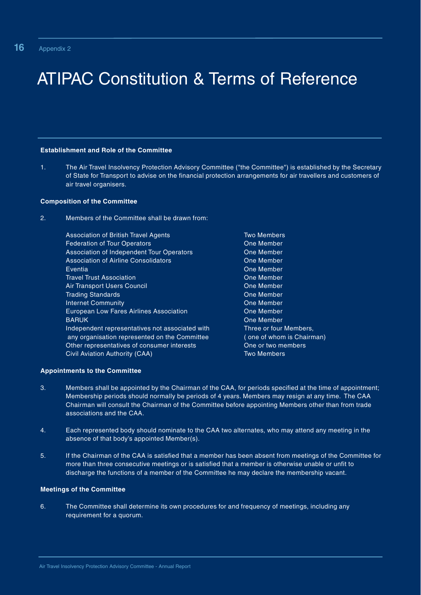# ATIPAC Constitution & Terms of Reference

### **Establishment and Role of the Committee**

1. The Air Travel Insolvency Protection Advisory Committee ("the Committee") is established by the Secretary of State for Transport to advise on the financial protection arrangements for air travellers and customers of air travel organisers.

### **Composition of the Committee**

2. Members of the Committee shall be drawn from:

Association of British Travel Agents **Association of British Travel Agents** Two Members Federation of Tour Operators **Contact Cone Member** Association of Independent Tour Operators **Cone Member** Association of Airline Consolidators **Consolidators** One Member Eventia One Member **Travel Trust Association** Christian Christian Christian Christian Christian Christian Christian Christian Christian Air Transport Users Council **Community** Cone Member **Trading Standards Cone Member Internet Community Community Community** Community Community Community Community Community Community Community Community European Low Fares Airlines Association **Connect Coney Cone Member** BARUK **One Member** Controllering and the Controllering Cone Member Independent representatives not associated with Three or four Members, any organisation represented on the Committee ( one of whom is Chairman) Other representatives of consumer interests **One or two members** Civil Aviation Authority (CAA) Two Members

### **Appointments to the Committee**

- 3. Members shall be appointed by the Chairman of the CAA, for periods specified at the time of appointment; Membership periods should normally be periods of 4 years. Members may resign at any time. The CAA Chairman will consult the Chairman of the Committee before appointing Members other than from trade associations and the CAA.
- 4. Each represented body should nominate to the CAA two alternates, who may attend any meeting in the absence of that body's appointed Member(s).
- 5. If the Chairman of the CAA is satisfied that a member has been absent from meetings of the Committee for more than three consecutive meetings or is satisfied that a member is otherwise unable or unfit to discharge the functions of a member of the Committee he may declare the membership vacant.

### **Meetings of the Committee**

6. The Committee shall determine its own procedures for and frequency of meetings, including any requirement for a quorum.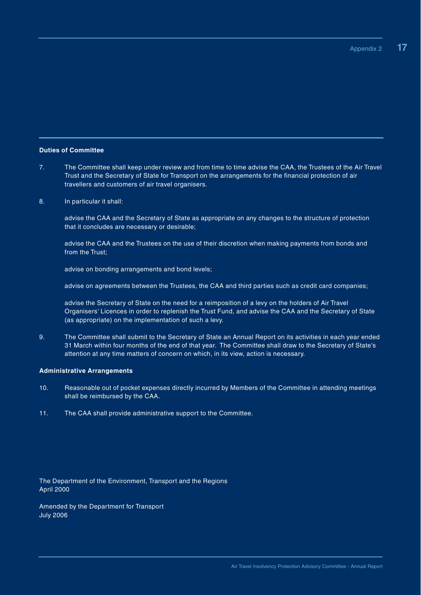#### **Duties of Committee**

- 7. The Committee shall keep under review and from time to time advise the CAA, the Trustees of the Air Travel Trust and the Secretary of State for Transport on the arrangements for the financial protection of air travellers and customers of air travel organisers.
- 8. In particular it shall:

advise the CAA and the Secretary of State as appropriate on any changes to the structure of protection that it concludes are necessary or desirable;

advise the CAA and the Trustees on the use of their discretion when making payments from bonds and from the Trust;

advise on bonding arrangements and bond levels;

advise on agreements between the Trustees, the CAA and third parties such as credit card companies;

advise the Secretary of State on the need for a reimposition of a levy on the holders of Air Travel Organisers' Licences in order to replenish the Trust Fund, and advise the CAA and the Secretary of State (as appropriate) on the implementation of such a levy.

9. The Committee shall submit to the Secretary of State an Annual Report on its activities in each year ended 31 March within four months of the end of that year. The Committee shall draw to the Secretary of State's attention at any time matters of concern on which, in its view, action is necessary.

#### **Administrative Arrangements**

- 10. Reasonable out of pocket expenses directly incurred by Members of the Committee in attending meetings shall be reimbursed by the CAA.
- 11. The CAA shall provide administrative support to the Committee.

The Department of the Environment, Transport and the Regions April 2000

Amended by the Department for Transport July 2006